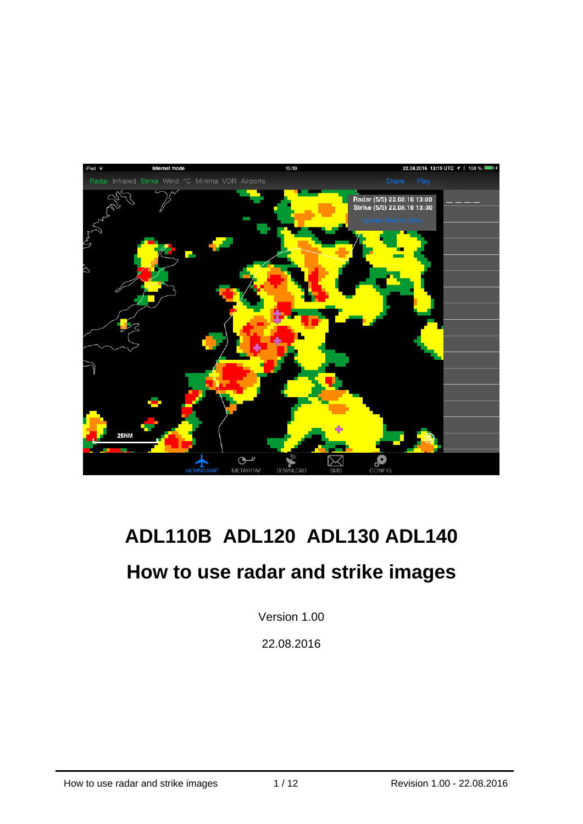

# **ADL110B ADL120 ADL130 ADL140**

# **How to use radar and strike images**

Version 1.00

22.08.2016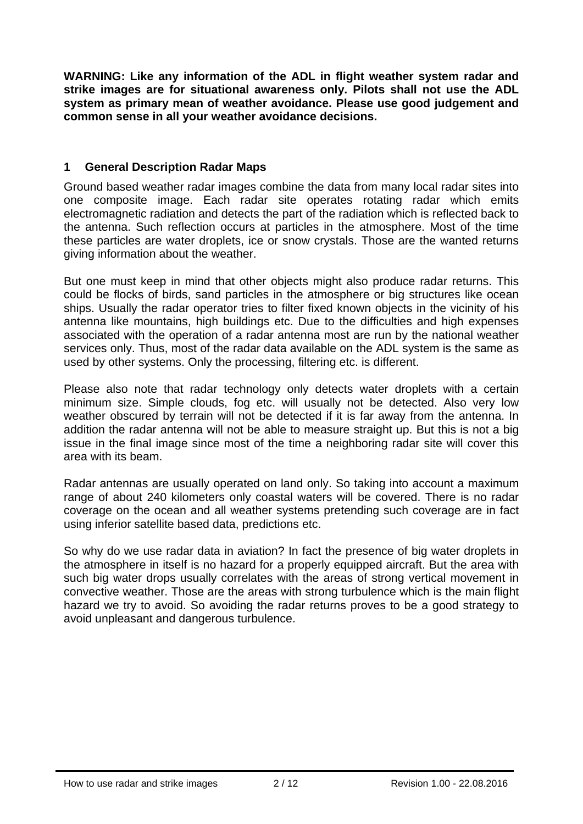**WARNING: Like any information of the ADL in flight weather system radar and strike images are for situational awareness only. Pilots shall not use the ADL system as primary mean of weather avoidance. Please use good judgement and common sense in all your weather avoidance decisions.** 

#### **1 General Description Radar Maps**

Ground based weather radar images combine the data from many local radar sites into one composite image. Each radar site operates rotating radar which emits electromagnetic radiation and detects the part of the radiation which is reflected back to the antenna. Such reflection occurs at particles in the atmosphere. Most of the time these particles are water droplets, ice or snow crystals. Those are the wanted returns giving information about the weather.

But one must keep in mind that other objects might also produce radar returns. This could be flocks of birds, sand particles in the atmosphere or big structures like ocean ships. Usually the radar operator tries to filter fixed known objects in the vicinity of his antenna like mountains, high buildings etc. Due to the difficulties and high expenses associated with the operation of a radar antenna most are run by the national weather services only. Thus, most of the radar data available on the ADL system is the same as used by other systems. Only the processing, filtering etc. is different.

Please also note that radar technology only detects water droplets with a certain minimum size. Simple clouds, fog etc. will usually not be detected. Also very low weather obscured by terrain will not be detected if it is far away from the antenna. In addition the radar antenna will not be able to measure straight up. But this is not a big issue in the final image since most of the time a neighboring radar site will cover this area with its beam.

Radar antennas are usually operated on land only. So taking into account a maximum range of about 240 kilometers only coastal waters will be covered. There is no radar coverage on the ocean and all weather systems pretending such coverage are in fact using inferior satellite based data, predictions etc.

So why do we use radar data in aviation? In fact the presence of big water droplets in the atmosphere in itself is no hazard for a properly equipped aircraft. But the area with such big water drops usually correlates with the areas of strong vertical movement in convective weather. Those are the areas with strong turbulence which is the main flight hazard we try to avoid. So avoiding the radar returns proves to be a good strategy to avoid unpleasant and dangerous turbulence.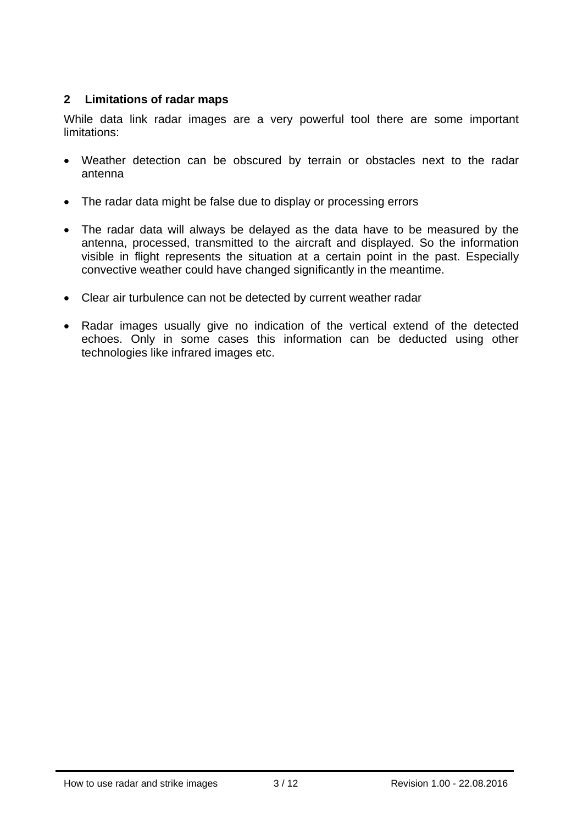#### **2 Limitations of radar maps**

While data link radar images are a very powerful tool there are some important limitations:

- Weather detection can be obscured by terrain or obstacles next to the radar antenna
- The radar data might be false due to display or processing errors
- The radar data will always be delayed as the data have to be measured by the antenna, processed, transmitted to the aircraft and displayed. So the information visible in flight represents the situation at a certain point in the past. Especially convective weather could have changed significantly in the meantime.
- Clear air turbulence can not be detected by current weather radar
- Radar images usually give no indication of the vertical extend of the detected echoes. Only in some cases this information can be deducted using other technologies like infrared images etc.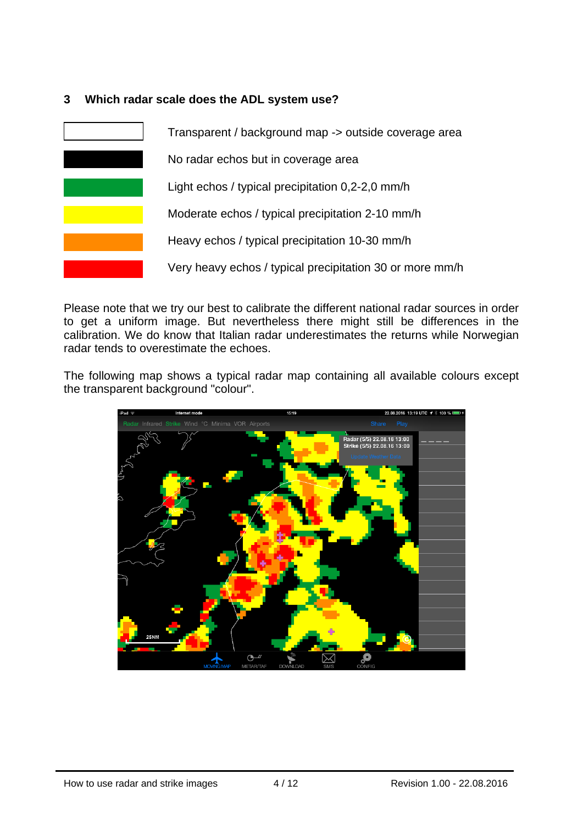#### **3 Which radar scale does the ADL system use?**

| Transparent / background map -> outside coverage area    |
|----------------------------------------------------------|
| No radar echos but in coverage area                      |
| Light echos / typical precipitation 0,2-2,0 mm/h         |
| Moderate echos / typical precipitation 2-10 mm/h         |
| Heavy echos / typical precipitation 10-30 mm/h           |
| Very heavy echos / typical precipitation 30 or more mm/h |

Please note that we try our best to calibrate the different national radar sources in order to get a uniform image. But nevertheless there might still be differences in the calibration. We do know that Italian radar underestimates the returns while Norwegian radar tends to overestimate the echoes.

The following map shows a typical radar map containing all available colours except the transparent background "colour".

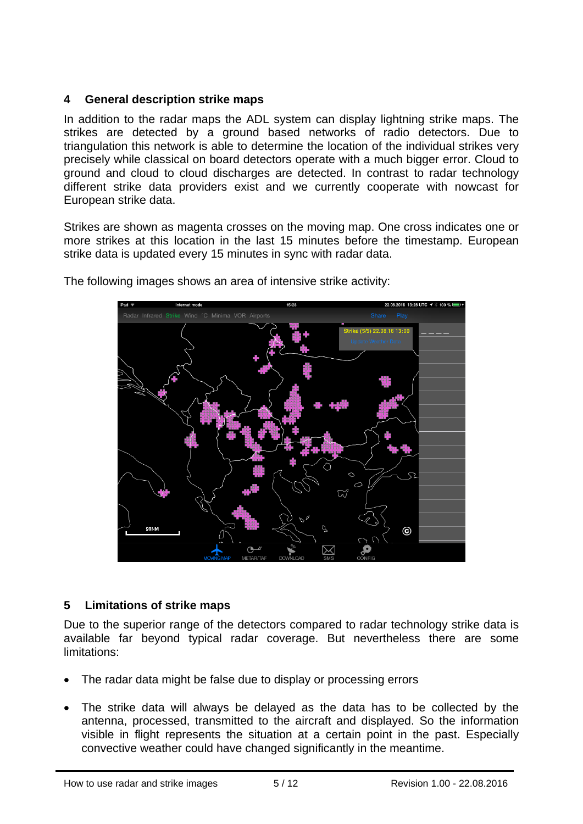#### **4 General description strike maps**

In addition to the radar maps the ADL system can display lightning strike maps. The strikes are detected by a ground based networks of radio detectors. Due to triangulation this network is able to determine the location of the individual strikes very precisely while classical on board detectors operate with a much bigger error. Cloud to ground and cloud to cloud discharges are detected. In contrast to radar technology different strike data providers exist and we currently cooperate with nowcast for European strike data.

Strikes are shown as magenta crosses on the moving map. One cross indicates one or more strikes at this location in the last 15 minutes before the timestamp. European strike data is updated every 15 minutes in sync with radar data.



The following images shows an area of intensive strike activity:

# **5 Limitations of strike maps**

Due to the superior range of the detectors compared to radar technology strike data is available far beyond typical radar coverage. But nevertheless there are some limitations:

- The radar data might be false due to display or processing errors
- The strike data will always be delayed as the data has to be collected by the antenna, processed, transmitted to the aircraft and displayed. So the information visible in flight represents the situation at a certain point in the past. Especially convective weather could have changed significantly in the meantime.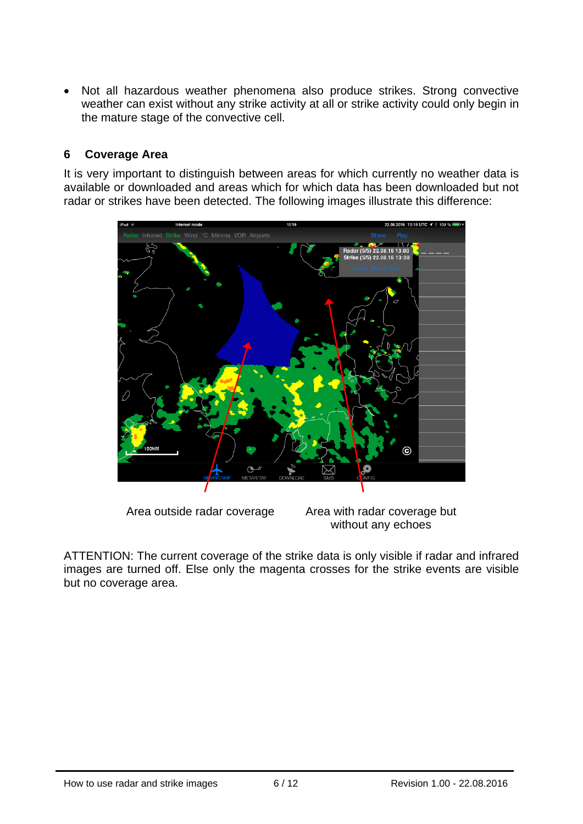• Not all hazardous weather phenomena also produce strikes. Strong convective weather can exist without any strike activity at all or strike activity could only begin in the mature stage of the convective cell.

#### **6 Coverage Area**

It is very important to distinguish between areas for which currently no weather data is available or downloaded and areas which for which data has been downloaded but not radar or strikes have been detected. The following images illustrate this difference:



Area outside radar coverage Area with radar coverage but without any echoes

ATTENTION: The current coverage of the strike data is only visible if radar and infrared images are turned off. Else only the magenta crosses for the strike events are visible but no coverage area.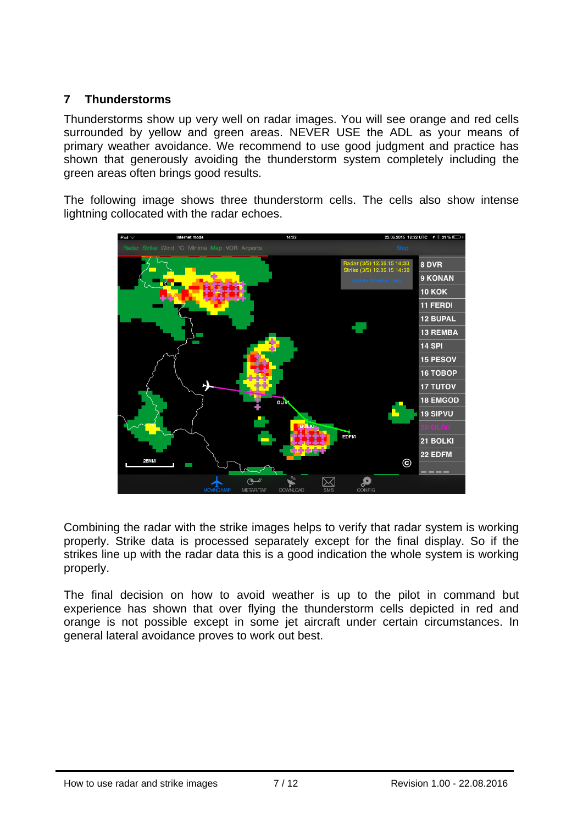## **7 Thunderstorms**

Thunderstorms show up very well on radar images. You will see orange and red cells surrounded by yellow and green areas. NEVER USE the ADL as your means of primary weather avoidance. We recommend to use good judgment and practice has shown that generously avoiding the thunderstorm system completely including the green areas often brings good results.

The following image shows three thunderstorm cells. The cells also show intense lightning collocated with the radar echoes.



Combining the radar with the strike images helps to verify that radar system is working properly. Strike data is processed separately except for the final display. So if the strikes line up with the radar data this is a good indication the whole system is working properly.

The final decision on how to avoid weather is up to the pilot in command but experience has shown that over flying the thunderstorm cells depicted in red and orange is not possible except in some jet aircraft under certain circumstances. In general lateral avoidance proves to work out best.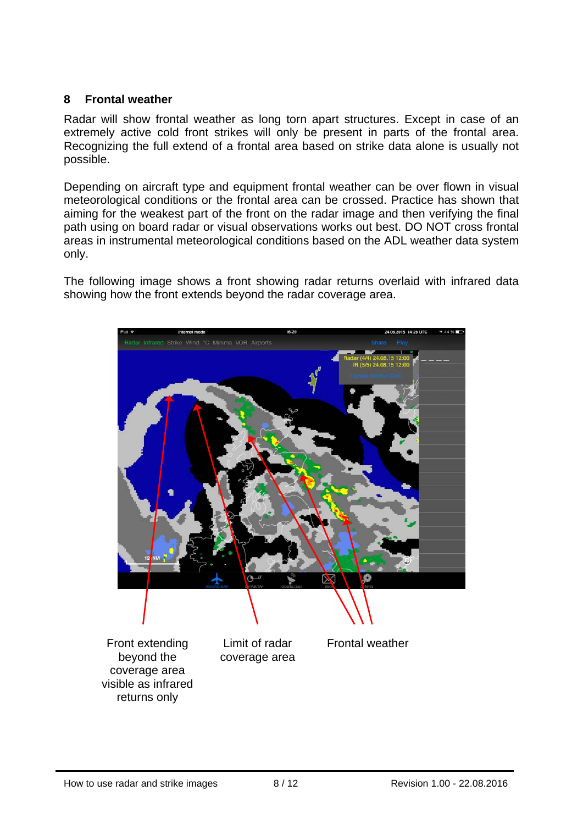#### **8 Frontal weather**

Radar will show frontal weather as long torn apart structures. Except in case of an extremely active cold front strikes will only be present in parts of the frontal area. Recognizing the full extend of a frontal area based on strike data alone is usually not possible.

Depending on aircraft type and equipment frontal weather can be over flown in visual meteorological conditions or the frontal area can be crossed. Practice has shown that aiming for the weakest part of the front on the radar image and then verifying the final path using on board radar or visual observations works out best. DO NOT cross frontal areas in instrumental meteorological conditions based on the ADL weather data system only.

The following image shows a front showing radar returns overlaid with infrared data showing how the front extends beyond the radar coverage area.

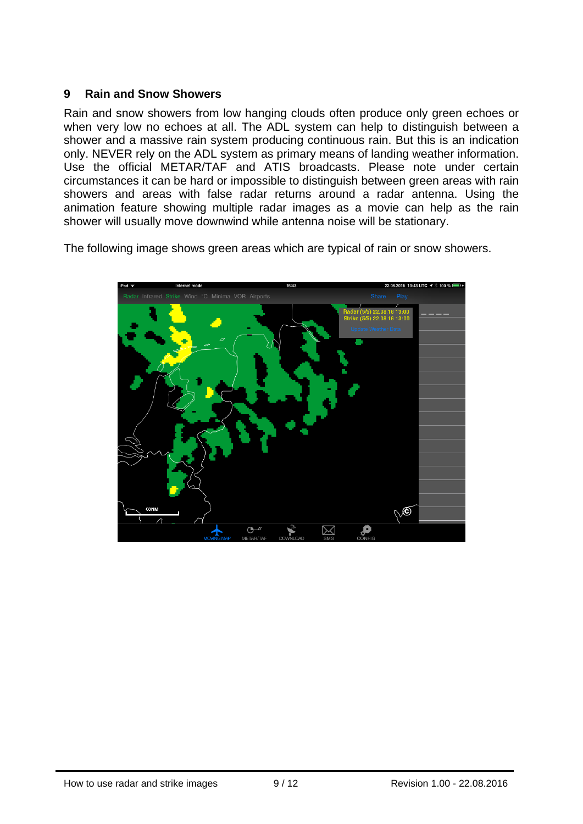#### **9 Rain and Snow Showers**

Rain and snow showers from low hanging clouds often produce only green echoes or when very low no echoes at all. The ADL system can help to distinguish between a shower and a massive rain system producing continuous rain. But this is an indication only. NEVER rely on the ADL system as primary means of landing weather information. Use the official METAR/TAF and ATIS broadcasts. Please note under certain circumstances it can be hard or impossible to distinguish between green areas with rain showers and areas with false radar returns around a radar antenna. Using the animation feature showing multiple radar images as a movie can help as the rain shower will usually move downwind while antenna noise will be stationary.

The following image shows green areas which are typical of rain or snow showers.

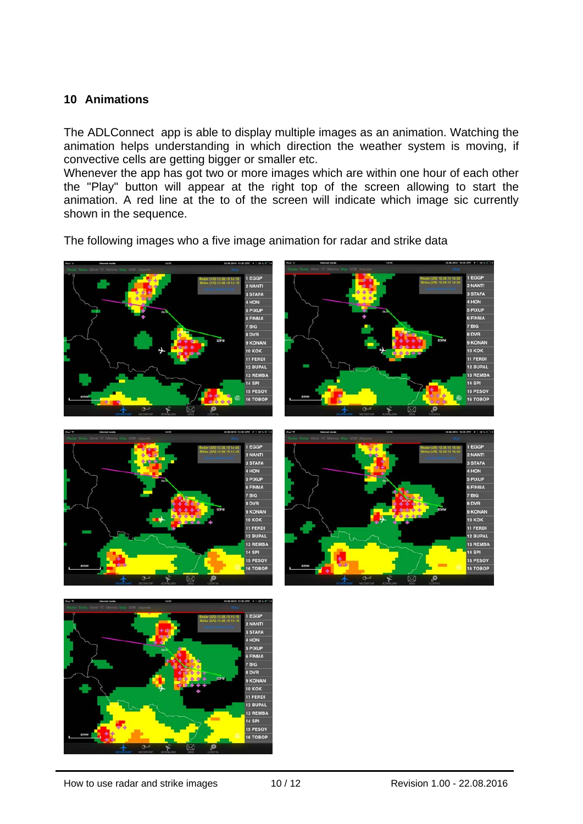#### **10 Animations**

The ADLConnect app is able to display multiple images as an animation. Watching the animation helps understanding in which direction the weather system is moving, if convective cells are getting bigger or smaller etc.

Whenever the app has got two or more images which are within one hour of each other the "Play" button will appear at the right top of the screen allowing to start the animation. A red line at the to of the screen will indicate which image sic currently shown in the sequence.

The following images who a five image animation for radar and strike data









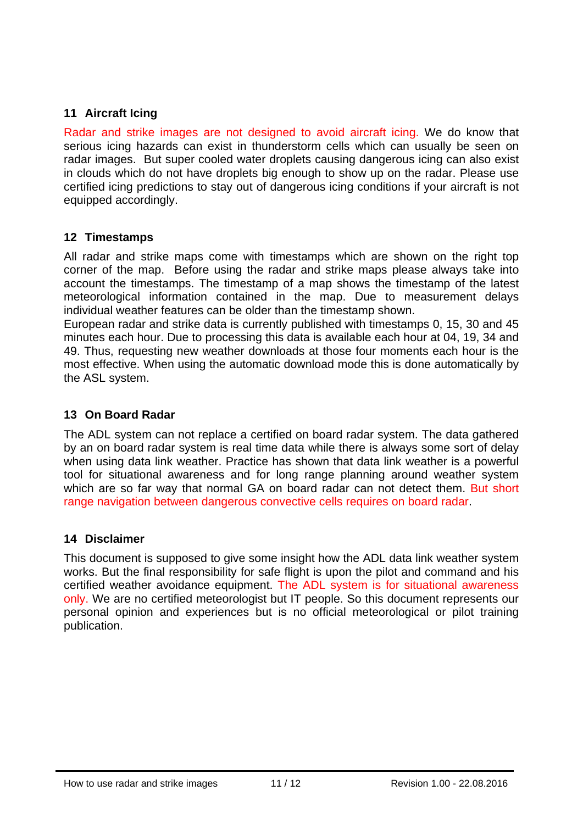## **11 Aircraft Icing**

Radar and strike images are not designed to avoid aircraft icing. We do know that serious icing hazards can exist in thunderstorm cells which can usually be seen on radar images. But super cooled water droplets causing dangerous icing can also exist in clouds which do not have droplets big enough to show up on the radar. Please use certified icing predictions to stay out of dangerous icing conditions if your aircraft is not equipped accordingly.

#### **12 Timestamps**

All radar and strike maps come with timestamps which are shown on the right top corner of the map. Before using the radar and strike maps please always take into account the timestamps. The timestamp of a map shows the timestamp of the latest meteorological information contained in the map. Due to measurement delays individual weather features can be older than the timestamp shown.

European radar and strike data is currently published with timestamps 0, 15, 30 and 45 minutes each hour. Due to processing this data is available each hour at 04, 19, 34 and 49. Thus, requesting new weather downloads at those four moments each hour is the most effective. When using the automatic download mode this is done automatically by the ASL system.

#### **13 On Board Radar**

The ADL system can not replace a certified on board radar system. The data gathered by an on board radar system is real time data while there is always some sort of delay when using data link weather. Practice has shown that data link weather is a powerful tool for situational awareness and for long range planning around weather system which are so far way that normal GA on board radar can not detect them. But short range navigation between dangerous convective cells requires on board radar.

#### **14 Disclaimer**

This document is supposed to give some insight how the ADL data link weather system works. But the final responsibility for safe flight is upon the pilot and command and his certified weather avoidance equipment. The ADL system is for situational awareness only. We are no certified meteorologist but IT people. So this document represents our personal opinion and experiences but is no official meteorological or pilot training publication.